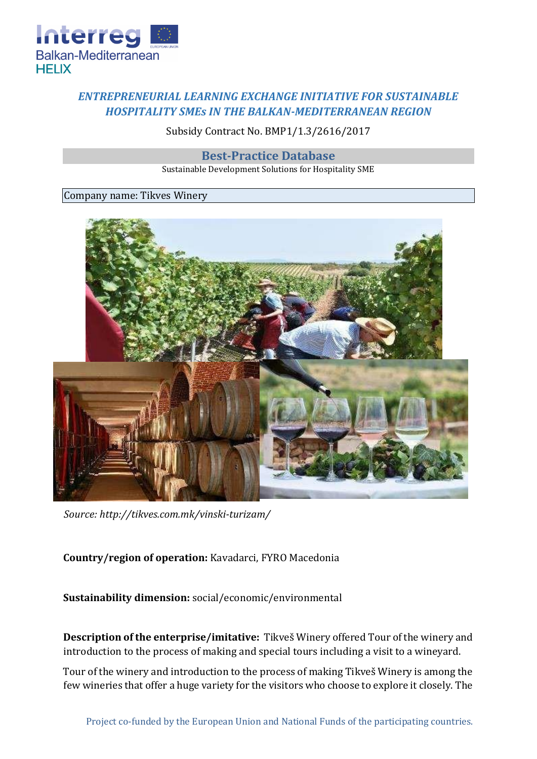

## *ENTREPRENEURIAL LEARNING EXCHANGE INITIATIVE FOR SUSTAINABLE HOSPITALITY SMEs IN THE BALKAN-MEDITERRANEAN REGION*

Subsidy Contract No. BMP1/1.3/2616/2017

**Best-Practice Database**

Sustainable Development Solutions for Hospitality SME

## Company name: Tikves Winery



*Source:<http://tikves.com.mk/vinski-turizam/>*

## **Country/region of operation:** Kavadarci, FYRO Macedonia

**Sustainability dimension:** social/economic/environmental

**Description of the enterprise/imitative:** Tikveš Winery offered Tour of the winery and introduction to the process of making and special tours including a visit to a wineyard.

Tour of the winery and introduction to the process of making Tikveš Winery is among the few wineries that offer a huge variety for the visitors who choose to explore it closely. The

Project co-funded by the European Union and National Funds of the participating countries.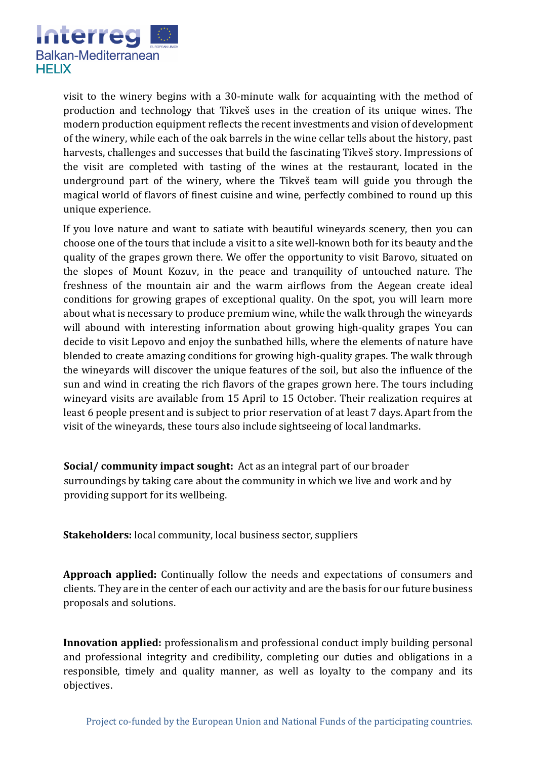

visit to the winery begins with a 30-minute walk for acquainting with the method of production and technology that Tikveš uses in the creation of its unique wines. The modern production equipment reflects the recent investments and vision of development of the winery, while each of the oak barrels in the wine cellar tells about the history, past harvests, challenges and successes that build the fascinating Tikveš story. Impressions of the visit are completed with tasting of the wines at the restaurant, located in the underground part of the winery, where the Tikveš team will guide you through the magical world of flavors of finest cuisine and wine, perfectly combined to round up this unique experience.

If you love nature and want to satiate with beautiful wineyards scenery, then you can choose one of the tours that include a visit to a site well-known both for its beauty and the quality of the grapes grown there. We offer the opportunity to visit Barovo, situated on the slopes of Mount Kozuv, in the peace and tranquility of untouched nature. The freshness of the mountain air and the warm airflows from the Aegean create ideal conditions for growing grapes of exceptional quality. On the spot, you will learn more about what is necessary to produce premium wine, while the walk through the wineyards will abound with interesting information about growing high-quality grapes You can decide to visit Lepovo and enjoy the sunbathed hills, where the elements of nature have blended to create amazing conditions for growing high-quality grapes. The walk through the wineyards will discover the unique features of the soil, but also the influence of the sun and wind in creating the rich flavors of the grapes grown here. The tours including wineyard visits are available from 15 April to 15 October. Their realization requires at least 6 people present and is subject to prior reservation of at least 7 days. Apart from the visit of the wineyards, these tours also include sightseeing of local landmarks.

**Social/ community impact sought:** Act as an integral part of our broader surroundings by taking care about the community in which we live and work and by providing support for its wellbeing.

**Stakeholders:** local community, local business sector, suppliers

**Approach applied:** Continually follow the needs and expectations of consumers and clients. They are in the center of each our activity and are the basis for our future business proposals and solutions.

**Innovation applied:** professionalism and professional conduct imply building personal and professional integrity and credibility, completing our duties and obligations in a responsible, timely and quality manner, as well as loyalty to the company and its objectives.